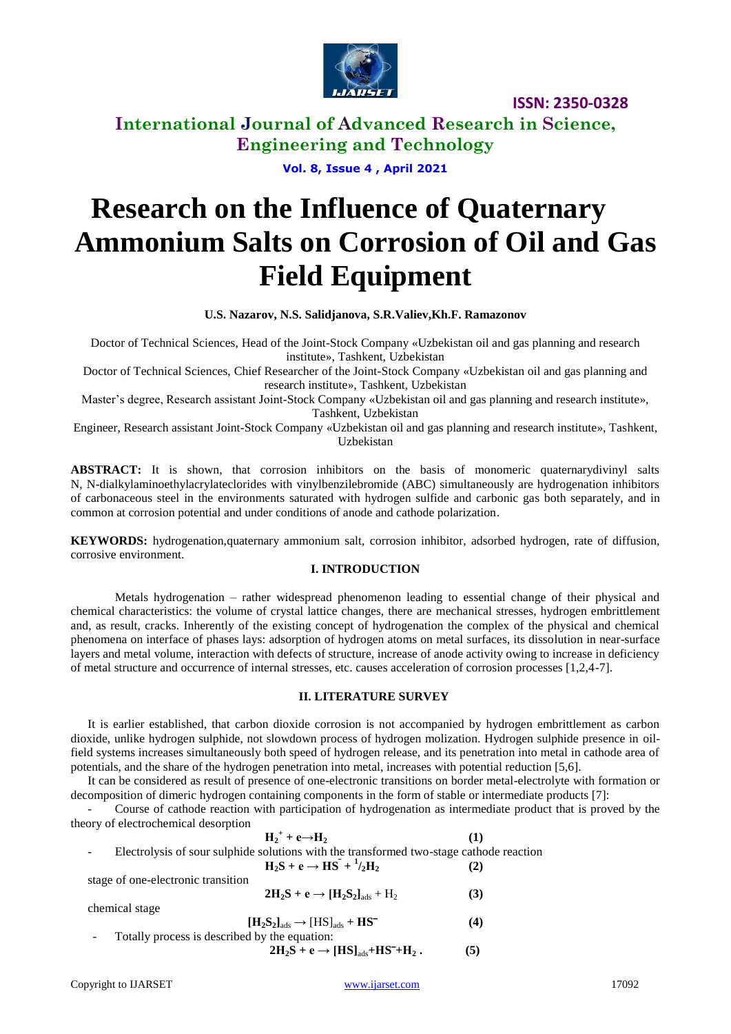

**International Journal of Advanced Research in Science, Engineering and Technology**

**Vol. 8, Issue 4 , April 2021**

# **Research on the Influence of Quaternary Ammonium Salts on Corrosion of Oil and Gas Field Equipment**

**U.S. Nazarov, N.S. Salidjanova, S.R.Valiev,Kh.F. Ramazonov**

Doctor of Technical Sciences, Head of the Joint-Stock Company «Uzbekistan oil and gas planning and research institute», Tashkent, Uzbekistan

Doctor of Technical Sciences, Chief Researcher of the Joint-Stock Company «Uzbekistan oil and gas planning and research institute», Tashkent, Uzbekistan

Master's degree, Research assistant Joint-Stock Company «Uzbekistan oil and gas planning and research institute», Tashkent, Uzbekistan

Engineer, Research assistant Joint-Stock Company «Uzbekistan oil and gas planning and research institute», Tashkent, Uzbekistan

**ABSTRACT:** It is shown, that corrosion inhibitors on the basis of monomeric quaternarydivinyl salts N, N-dialkylaminoethylacrylateclorides with vinylbenzilebromide (ABC) simultaneously are hydrogenation inhibitors of carbonaceous steel in the environments saturated with hydrogen sulfide and carbonic gas both separately, and in common at corrosion potential and under conditions of anode and cathode polarization.

**KEYWORDS:** hydrogenation,quaternary ammonium salt, corrosion inhibitor, adsorbed hydrogen, rate of diffusion, corrosive environment.

#### **I. INTRODUCTION**

Metals hydrogenation – rather widespread phenomenon leading to essential change of their physical and chemical characteristics: the volume of crystal lattice changes, there are mechanical stresses, hydrogen embrittlement and, as result, cracks. Inherently of the existing concept of hydrogenation the complex of the physical and chemical phenomena on interface of phases lays: adsorption of hydrogen atoms on metal surfaces, its dissolution in near-surface layers and metal volume, interaction with defects of structure, increase of anode activity owing to increase in deficiency of metal structure and occurrence of internal stresses, etc. causes acceleration of corrosion processes [1,2,4-7].

#### **II. LITERATURE SURVEY**

It is earlier established, that carbon dioxide corrosion is not accompanied by hydrogen embrittlement as carbon dioxide, unlike hydrogen sulphide, not slowdown process of hydrogen molization. Hydrogen sulphide presence in oilfield systems increases simultaneously both speed of hydrogen release, and its penetration into metal in cathode area of potentials, and the share of the hydrogen penetration into metal, increases with potential reduction [5,6].

It can be considered as result of presence of one-electronic transitions on border metal-electrolyte with formation or decomposition of dimeric hydrogen containing components in the form of stable or intermediate products [7]:

- Course of cathode reaction with participation of hydrogenation as intermediate product that is proved by the theory of electrochemical desorption

| $H_2^+ + e \rightarrow H_2$                                                             |     |
|-----------------------------------------------------------------------------------------|-----|
| Electrolysis of sour sulphide solutions with the transformed two-stage cathode reaction |     |
| $H_2S + e \rightarrow HS^{-} + \frac{1}{2}H_2$                                          | (2) |
| stage of one-electronic transition                                                      |     |

 $2H_2S + e \rightarrow [H_2S_2]_{ads} + H_2$  (3)

chemical stage

 $[\text{H}_2\text{S}_2]_{\text{ads}} \rightarrow [\text{HS}]_{\text{ads}} + \text{HS}^-$  (4) Totally process is described by the equation:  $2H_2S + e \rightarrow [HS]_{ads} + HS^+ + H_2$  **(5)**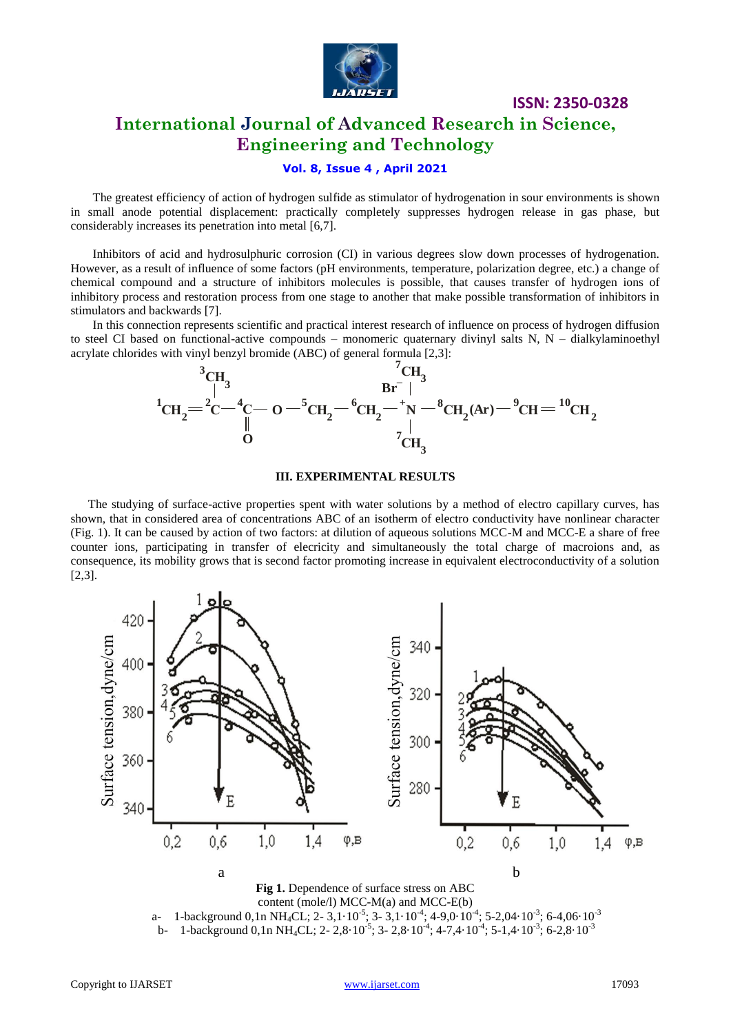

## **International Journal of Advanced Research in Science, Engineering and Technology**

#### **Vol. 8, Issue 4 , April 2021**

The greatest efficiency of action of hydrogen sulfide as stimulator of hydrogenation in sour environments is shown in small anode potential displacement: practically completely suppresses hydrogen release in gas phase, but considerably increases its penetration into metal [6,7].

Inhibitors of acid and hydrosulphuric corrosion (CI) in various degrees slow down processes of hydrogenation. However, as a result of influence of some factors (pH environments, temperature, polarization degree, etc.) a change of chemical compound and a structure of inhibitors molecules is possible, that causes transfer of hydrogen ions of inhibitory process and restoration process from one stage to another that make possible transformation of inhibitors in stimulators and backwards [7].

In this connection represents scientific and practical interest research of influence on process of hydrogen diffusion to steel CI based on functional-active compounds – monomeric quaternary divinyl salts N, N – dialkylaminoethyl acrylate chlorides with vinyl benzyl bromide (ABC) of general formula [2,3]:



#### **III. EXPERIMENTAL RESULTS**

The studying of surface-active properties spent with water solutions by a method of electro capillary curves, has shown, that in considered area of concentrations ABC of an isotherm of electro conductivity have nonlinear character (Fig. 1). It can be caused by action of two factors: at dilution of aqueous solutions MCC-M and MCC-E a share of free counter ions, participating in transfer of elecricity and simultaneously the total charge of macroions and, as consequence, its mobility grows that is second factor promoting increase in equivalent electroconductivity of a solution [2,3].



a- 1-background  $0, 1n \text{ NH}_4\text{CL}$ ; 2- 3,1 $\cdot 10^{-5}$ ; 3- 3,1 $\cdot 10^{-4}$ ; 4-9,0 $\cdot 10^{-4}$ ; 5-2,04 $\cdot 10^{-3}$ ; 6-4,06 $\cdot 10^{-3}$ b- 1-background  $0, 1n \text{ NH}_4\text{CL}$ ; 2- 2,8 $\cdot 10^{-5}$ ; 3- 2,8 $\cdot 10^{-4}$ ; 4-7,4 $\cdot 10^{-4}$ ; 5-1,4 $\cdot 10^{-3}$ ; 6-2,8 $\cdot 10^{-3}$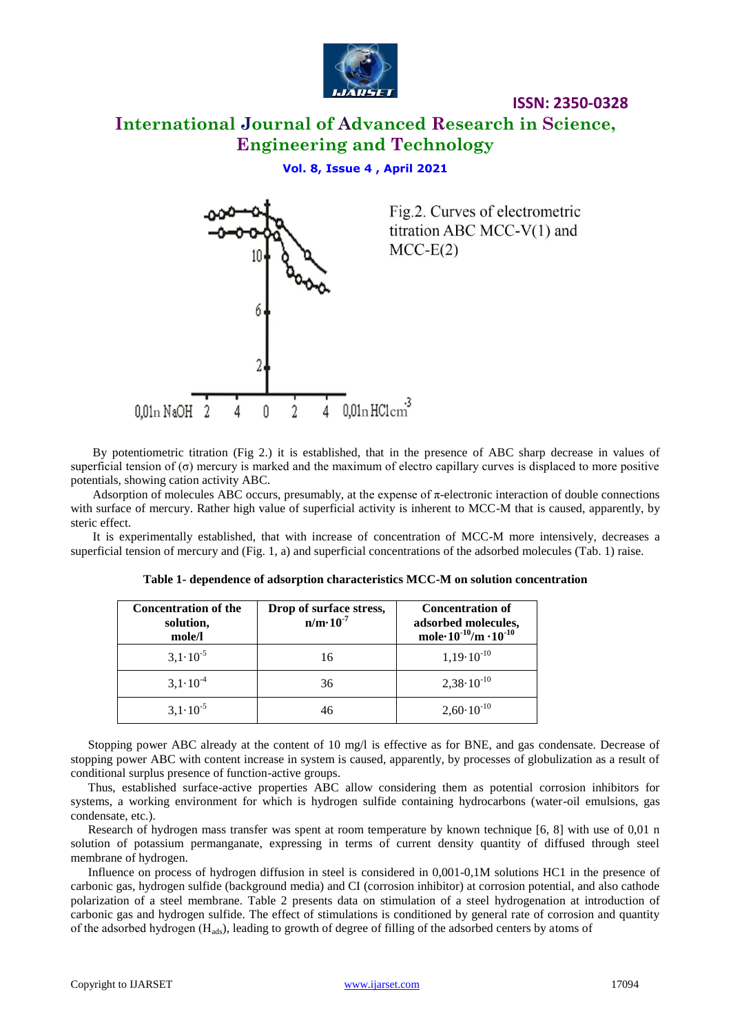

# **International Journal of Advanced Research in Science, Engineering and Technology**

#### **Vol. 8, Issue 4 , April 2021**



By potentiometric titration (Fig 2.) it is established, that in the presence of ABC sharp decrease in values of superficial tension of (σ) mercury is marked and the maximum of electro capillary curves is displaced to more positive potentials, showing cation activity ABC.

Adsorption of molecules ABC occurs, presumably, at the expense of π-electronic interaction of double connections with surface of mercury. Rather high value of superficial activity is inherent to MCC-M that is caused, apparently, by steric effect.

It is experimentally established, that with increase of concentration of MCC-M more intensively, decreases a superficial tension of mercury and (Fig. 1, a) and superficial concentrations of the adsorbed molecules (Tab. 1) raise.

| <b>Concentration of the</b><br>solution,<br>mole/l | Drop of surface stress,<br>$n/m \cdot 10^{-7}$ | <b>Concentration of</b><br>adsorbed molecules,<br>mole $10^{-10}/m \cdot 10^{-10}$ |
|----------------------------------------------------|------------------------------------------------|------------------------------------------------------------------------------------|
| $3,1 \cdot 10^{-5}$                                | 16                                             | $1,19\cdot10^{-10}$                                                                |
| $3,1 \cdot 10^{-4}$                                | 36                                             | $2,38 \cdot 10^{-10}$                                                              |
| $3,1.10^{-5}$                                      |                                                | $2,60 \cdot 10^{-10}$                                                              |

| Table 1- dependence of adsorption characteristics MCC-M on solution concentration |
|-----------------------------------------------------------------------------------|
|-----------------------------------------------------------------------------------|

Stopping power ABC already at the content of 10 mg/l is effective as for BNE, and gas condensate. Decrease of stopping power ABC with content increase in system is caused, apparently, by processes of globulization as a result of conditional surplus presence of function-active groups.

Thus, established surface-active properties ABC allow considering them as potential corrosion inhibitors for systems, a working environment for which is hydrogen sulfide containing hydrocarbons (water-oil emulsions, gas condensate, etc.).

Research of hydrogen mass transfer was spent at room temperature by known technique [6, 8] with use of 0,01 n solution of potassium permanganate, expressing in terms of current density quantity of diffused through steel membrane of hydrogen.

Influence on process of hydrogen diffusion in steel is considered in 0,001-0,1M solutions HC1 in the presence of carbonic gas, hydrogen sulfide (background media) and CI (corrosion inhibitor) at corrosion potential, and also cathode polarization of a steel membrane. Table 2 presents data on stimulation of a steel hydrogenation at introduction of carbonic gas and hydrogen sulfide. The effect of stimulations is conditioned by general rate of corrosion and quantity of the adsorbed hydrogen (Нads), leading to growth of degree of filling of the adsorbed centers by atoms of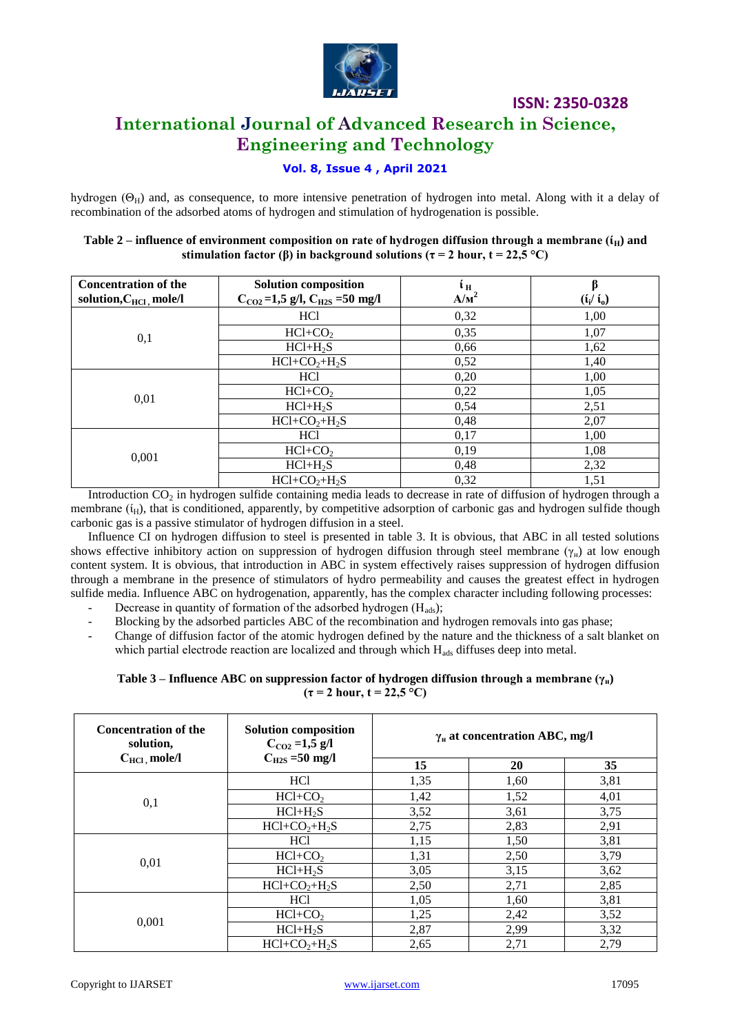

# **International Journal of Advanced Research in Science, Engineering and Technology**

#### **Vol. 8, Issue 4 , April 2021**

hydrogen ( $\Theta_H$ ) and, as consequence, to more intensive penetration of hydrogen into metal. Along with it a delay of recombination of the adsorbed atoms of hydrogen and stimulation of hydrogenation is possible.

| <b>Concentration of the</b><br>solution, $C_{\text{HC1}}$ mole/l | <b>Solution composition</b><br>$C_{CO2} = 1.5$ g/l, $C_{H2S} = 50$ mg/l | ŧн<br>A/m <sup>2</sup> | β<br>$(i_i / i_0)$ |
|------------------------------------------------------------------|-------------------------------------------------------------------------|------------------------|--------------------|
|                                                                  | HC <sub>1</sub>                                                         | 0,32                   | 1,00               |
| 0,1                                                              | $HCl+CO2$                                                               | 0,35                   | 1,07               |
|                                                                  | $HC1+H2S$                                                               | 0,66                   | 1,62               |
|                                                                  | $HC1+CO2+H2S$                                                           | 0,52                   | 1,40               |
| 0,01                                                             | HC <sub>1</sub>                                                         | 0,20                   | 1,00               |
|                                                                  | $HCI+CO2$                                                               | 0,22                   | 1,05               |
|                                                                  | $HC1+H_2S$                                                              | 0,54                   | 2,51               |
|                                                                  | $HC1+CO2+H2S$                                                           | 0,48                   | 2,07               |
|                                                                  | HC <sub>1</sub>                                                         | 0,17                   | 1,00               |
|                                                                  | $HCl+CO2$                                                               | 0,19                   | 1,08               |
| 0,001                                                            | $HC1+H2S$                                                               | 0,48                   | 2,32               |
|                                                                  | $HC1+CO2+H2S$                                                           | 0,32                   | 1,51               |

#### **Table 2 – influence of environment composition on rate of hydrogen diffusion through a membrane (** $i$ **<sup>H</sup>) and stimulation factor (β) in background solutions (** $\tau$  **= 2 hour, t = 22,5 °C)**

Introduction  $CO<sub>2</sub>$  in hydrogen sulfide containing media leads to decrease in rate of diffusion of hydrogen through a membrane  $(i_H)$ , that is conditioned, apparently, by competitive adsorption of carbonic gas and hydrogen sulfide though carbonic gas is a passive stimulator of hydrogen diffusion in a steel.

Influence CI on hydrogen diffusion to steel is presented in table 3. It is obvious, that ABC in all tested solutions shows effective inhibitory action on suppression of hydrogen diffusion through steel membrane ( $\gamma_{\mu}$ ) at low enough content system. It is obvious, that introduction in ABC in system effectively raises suppression of hydrogen diffusion through a membrane in the presence of stimulators of hydro permeability and causes the greatest effect in hydrogen sulfide media. Influence ABC on hydrogenation, apparently, has the complex character including following processes:

- Decrease in quantity of formation of the adsorbed hydrogen  $(H_{ads})$ ;
- Blocking by the adsorbed particles ABC of the recombination and hydrogen removals into gas phase;
- Change of diffusion factor of the atomic hydrogen defined by the nature and the thickness of a salt blanket on which partial electrode reaction are localized and through which H<sub>ads</sub> diffuses deep into metal.

#### **Table 3 – Influence ABC on suppression factor of hydrogen diffusion through a membrane (γн)**  $(\tau = 2 \text{ hour}, t = 22.5 \text{ °C})$

| <b>Concentration of the</b><br>solution, | <b>Solution composition</b><br>$C_{CO2} = 1.5$ g/l<br>$C_{H2S} = 50$ mg/l | $\gamma_{\text{H}}$ at concentration ABC, mg/l |           |      |
|------------------------------------------|---------------------------------------------------------------------------|------------------------------------------------|-----------|------|
| $C_{\text{HCl}}$ , mole/l                |                                                                           | 15                                             | <b>20</b> | 35   |
|                                          | HC <sub>1</sub>                                                           | 1,35                                           | 1,60      | 3,81 |
| 0,1                                      | $HCl+CO2$                                                                 | 1,42                                           | 1,52      | 4,01 |
|                                          | $HC1+H2S$                                                                 | 3,52                                           | 3,61      | 3,75 |
|                                          | $HCI+CO2+H2S$                                                             | 2,75                                           | 2,83      | 2,91 |
|                                          | HC <sub>1</sub>                                                           | 1,15                                           | 1,50      | 3,81 |
|                                          | $HCI+CO2$                                                                 | 1,31                                           | 2,50      | 3,79 |
| 0,01                                     | $HC1+H2S$                                                                 | 3,05                                           | 3,15      | 3,62 |
|                                          | $HCI+CO2+H2S$                                                             | 2,50                                           | 2,71      | 2,85 |
|                                          | HC <sub>1</sub>                                                           | 1,05                                           | 1,60      | 3,81 |
| 0,001                                    | $HCI+CO2$                                                                 | 1,25                                           | 2,42      | 3,52 |
|                                          | $HC1+H2S$                                                                 | 2,87                                           | 2,99      | 3,32 |
|                                          | $HCI+CO2+H2S$                                                             | 2,65                                           | 2,71      | 2,79 |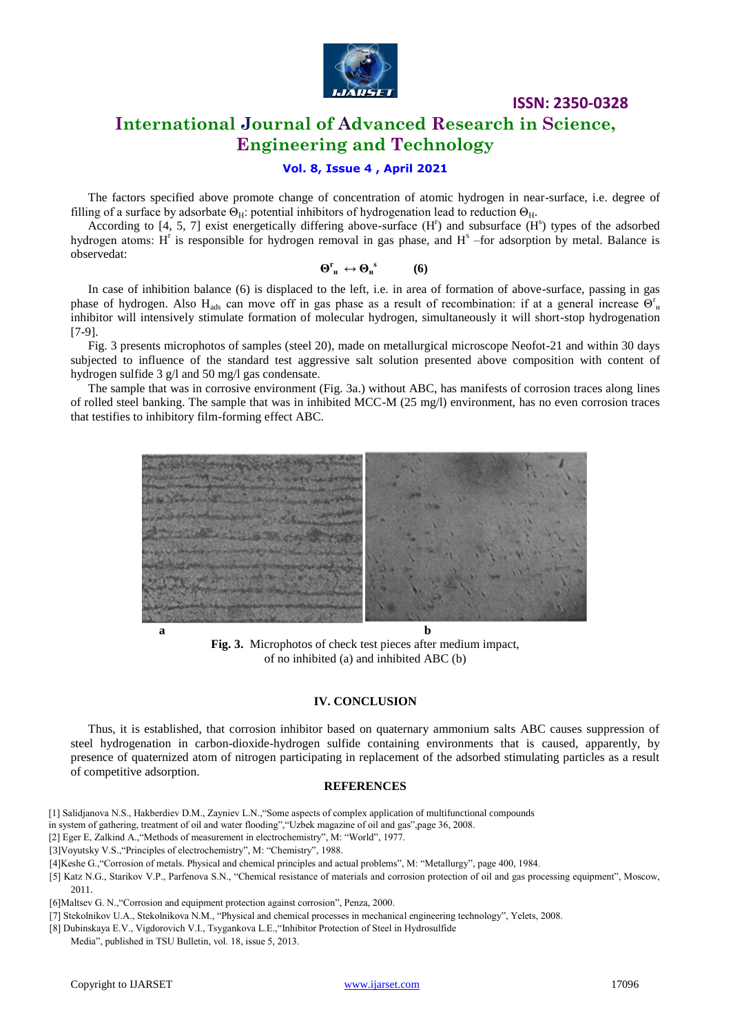

## **International Journal of Advanced Research in Science, Engineering and Technology**

#### **Vol. 8, Issue 4 , April 2021**

The factors specified above promote change of concentration of atomic hydrogen in near-surface, i.e. degree of filling of a surface by adsorbate  $\Theta_{H}$ : potential inhibitors of hydrogenation lead to reduction  $\Theta_{H}$ .

According to  $[4, 5, 7]$  exist energetically differing above-surface  $(H<sup>r</sup>)$  and subsurface  $(H<sup>s</sup>)$  types of the adsorbed hydrogen atoms:  $H^r$  is responsible for hydrogen removal in gas phase, and  $H^s$  -for adsorption by metal. Balance is observedat:

 $\Theta^{\text{r}}_{\text{h}} \leftrightarrow \Theta_{\text{h}}^{\text{s}}$  **(6)**

In case of inhibition balance (6) is displaced to the left, i.e. in area of formation of above-surface, passing in gas phase of hydrogen. Also H<sub>ads</sub> can move off in gas phase as a result of recombination: if at a general increase  $\Theta_0^r$ inhibitor will intensively stimulate formation of molecular hydrogen, simultaneously it will short-stop hydrogenation [7-9].

Fig. 3 presents microphotos of samples (steel 20), made on metallurgical microscope Neofot-21 and within 30 days subjected to influence of the standard test aggressive salt solution presented above composition with content of hydrogen sulfide 3 g/l and 50 mg/l gas condensate.

The sample that was in corrosive environment (Fig. 3a.) without ABC, has manifests of corrosion traces along lines of rolled steel banking. The sample that was in inhibited MCC-M (25 mg/l) environment, has no even corrosion traces that testifies to inhibitory film-forming effect ABC.



**Fig. 3.** Microphotos of check test pieces after medium impact, of no inhibited (a) and inhibited ABC (b)

#### **IV. CONCLUSION**

Thus, it is established, that corrosion inhibitor based on quaternary ammonium salts ABC causes suppression of steel hydrogenation in carbon-dioxide-hydrogen sulfide containing environments that is caused, apparently, by presence of quaternized atom of nitrogen participating in replacement of the adsorbed stimulating particles as a result of competitive adsorption.

#### **REFERENCES**

- [1] Salidjanova N.S., Hakberdiev D.M., Zayniev L.N.,"Some aspects of complex application of multifunctional compounds
- in system of gathering, treatment of oil and water flooding","Uzbek magazine of oil and gas",page 36, 2008.
- [2] Eger E, Zalkind A.,"Methods of measurement in electrochemistry", M: "World", 1977.
- [3]Voyutsky V.S.,"Principles of electrochemistry", M: "Chemistry", 1988.
- [4]Keshe G.,"Corrosion of metals. Physical and chemical principles and actual problems", M: "Metallurgy", page 400, 1984.
- [5] Katz N.G., Starikov V.P., Parfenova S.N., "Chemical resistance of materials and corrosion protection of oil and gas processing equipment", Moscow,
- [6]Maltsev G. N.,"Corrosion and equipment protection against corrosion", Penza, 2000.
- [7] Stekolnikov U.A., Stekolnikova N.M., "Physical and chemical processes in mechanical engineering technology", Yelets, 2008.
- [8] Dubinskaya E.V., Vigdorovich V.I., Tsygankova L.E.,"Inhibitor Protection of Steel in Hydrosulfide
- Media", published in TSU Bulletin, vol. 18, issue 5, 2013.

2011.